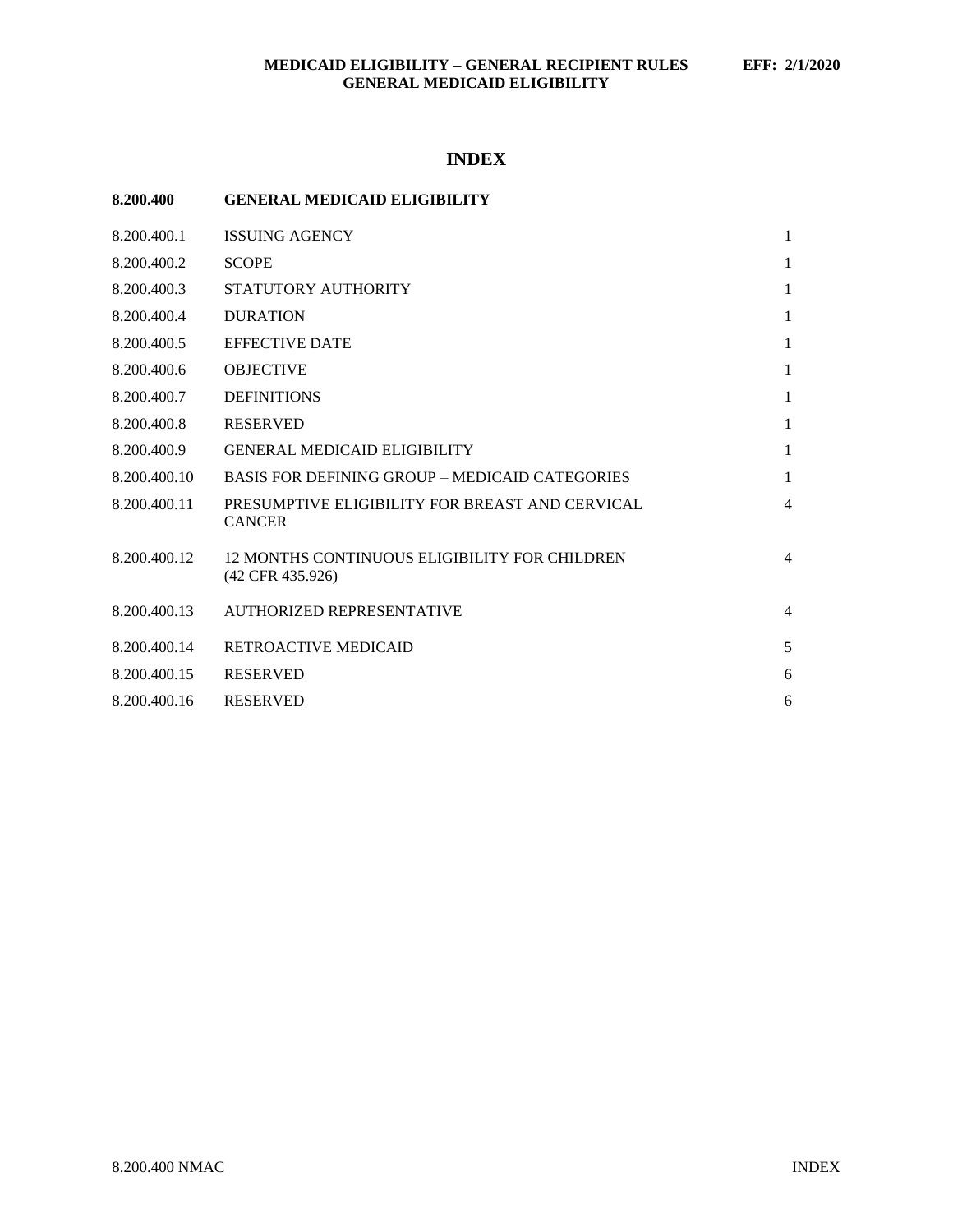## **INDEX**

| 8.200.400 |  | <b>GENERAL MEDICAID ELIGIBILITY</b> |
|-----------|--|-------------------------------------|
|           |  |                                     |

| 8.200.400.1  | <b>ISSUING AGENCY</b>                                             | 1              |
|--------------|-------------------------------------------------------------------|----------------|
| 8.200.400.2  | <b>SCOPE</b>                                                      | $\mathbf{1}$   |
| 8.200.400.3  | STATUTORY AUTHORITY                                               | $\mathbf{1}$   |
| 8.200.400.4  | <b>DURATION</b>                                                   | 1              |
| 8.200.400.5  | <b>EFFECTIVE DATE</b>                                             | 1              |
| 8.200.400.6  | <b>OBJECTIVE</b>                                                  | $\mathbf{1}$   |
| 8.200.400.7  | <b>DEFINITIONS</b>                                                | $\mathbf{1}$   |
| 8.200.400.8  | <b>RESERVED</b>                                                   | $\mathbf{1}$   |
| 8.200.400.9  | <b>GENERAL MEDICAID ELIGIBILITY</b>                               | $\mathbf{1}$   |
| 8.200.400.10 | <b>BASIS FOR DEFINING GROUP – MEDICAID CATEGORIES</b>             | $\mathbf{1}$   |
| 8.200.400.11 | PRESUMPTIVE ELIGIBILITY FOR BREAST AND CERVICAL<br><b>CANCER</b>  | $\overline{4}$ |
| 8.200.400.12 | 12 MONTHS CONTINUOUS ELIGIBILITY FOR CHILDREN<br>(42 CFR 435.926) | $\overline{4}$ |
| 8.200.400.13 | AUTHORIZED REPRESENTATIVE                                         | $\overline{4}$ |
| 8.200.400.14 | RETROACTIVE MEDICAID                                              | 5              |
| 8.200.400.15 | <b>RESERVED</b>                                                   | 6              |
| 8.200.400.16 | <b>RESERVED</b>                                                   | 6              |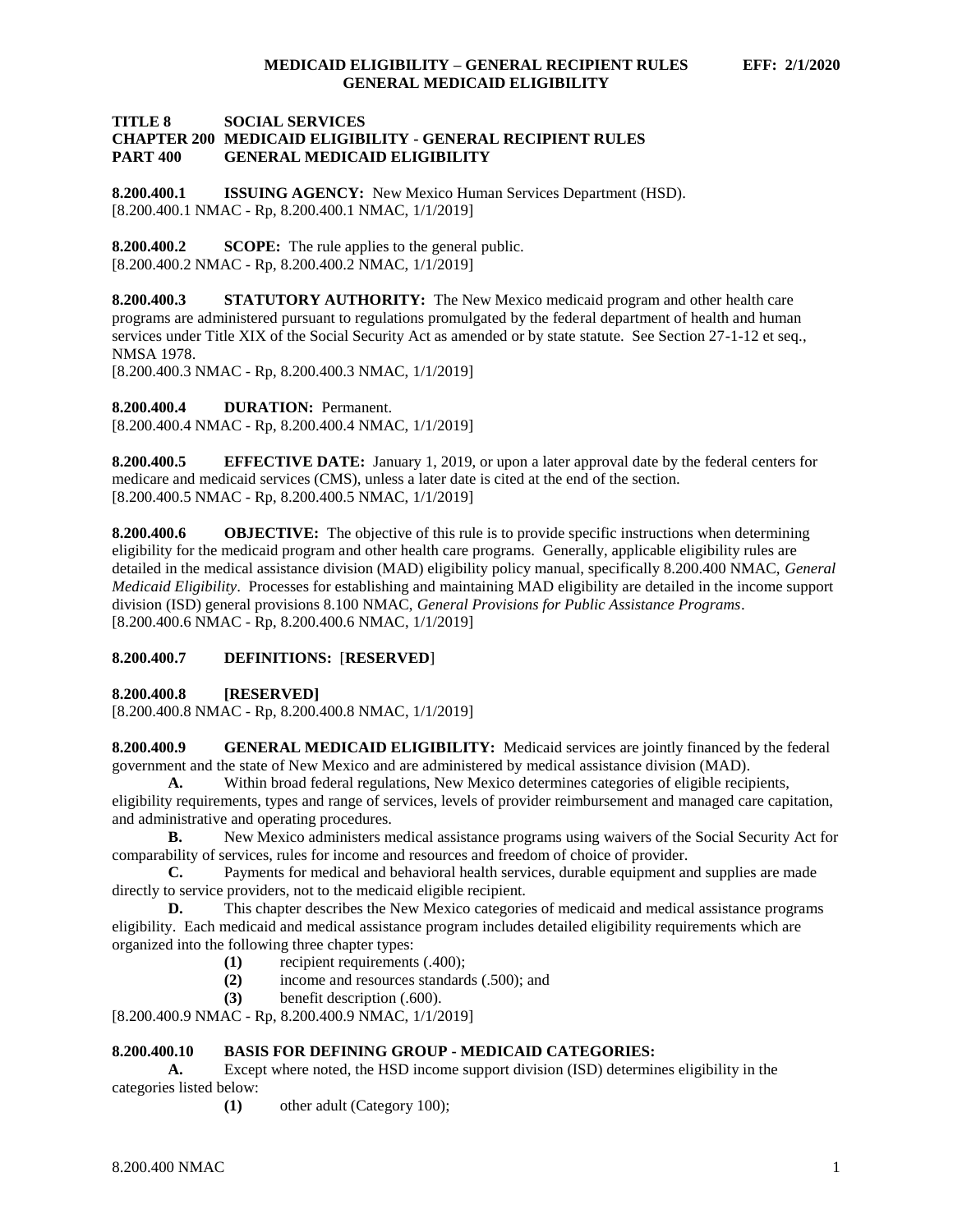### **TITLE 8 SOCIAL SERVICES CHAPTER 200 MEDICAID ELIGIBILITY - GENERAL RECIPIENT RULES PART 400 GENERAL MEDICAID ELIGIBILITY**

<span id="page-1-0"></span>**8.200.400.1 ISSUING AGENCY:** New Mexico Human Services Department (HSD). [8.200.400.1 NMAC - Rp, 8.200.400.1 NMAC, 1/1/2019]

<span id="page-1-1"></span>**8.200.400.2 SCOPE:** The rule applies to the general public. [8.200.400.2 NMAC - Rp, 8.200.400.2 NMAC, 1/1/2019]

<span id="page-1-2"></span>**8.200.400.3 STATUTORY AUTHORITY:** The New Mexico medicaid program and other health care programs are administered pursuant to regulations promulgated by the federal department of health and human services under Title XIX of the Social Security Act as amended or by state statute. See Section 27-1-12 et seq., NMSA 1978.

[8.200.400.3 NMAC - Rp, 8.200.400.3 NMAC, 1/1/2019]

<span id="page-1-3"></span>**8.200.400.4 DURATION:** Permanent.

[8.200.400.4 NMAC - Rp, 8.200.400.4 NMAC, 1/1/2019]

<span id="page-1-4"></span>**8.200.400.5 EFFECTIVE DATE:** January 1, 2019, or upon a later approval date by the federal centers for medicare and medicaid services (CMS), unless a later date is cited at the end of the section. [8.200.400.5 NMAC - Rp, 8.200.400.5 NMAC, 1/1/2019]

<span id="page-1-5"></span>**8.200.400.6 OBJECTIVE:** The objective of this rule is to provide specific instructions when determining eligibility for the medicaid program and other health care programs. Generally, applicable eligibility rules are detailed in the medical assistance division (MAD) eligibility policy manual, specifically 8.200.400 NMAC, *General Medicaid Eligibility*. Processes for establishing and maintaining MAD eligibility are detailed in the income support division (ISD) general provisions 8.100 NMAC, *General Provisions for Public Assistance Programs*. [8.200.400.6 NMAC - Rp, 8.200.400.6 NMAC, 1/1/2019]

## <span id="page-1-6"></span>**8.200.400.7 DEFINITIONS:** [**RESERVED**]

<span id="page-1-7"></span>**8.200.400.8 [RESERVED]**

[8.200.400.8 NMAC - Rp, 8.200.400.8 NMAC, 1/1/2019]

<span id="page-1-8"></span>**8.200.400.9 GENERAL MEDICAID ELIGIBILITY:** Medicaid services are jointly financed by the federal government and the state of New Mexico and are administered by medical assistance division (MAD).

**A.** Within broad federal regulations, New Mexico determines categories of eligible recipients, eligibility requirements, types and range of services, levels of provider reimbursement and managed care capitation,

and administrative and operating procedures.

**B.** New Mexico administers medical assistance programs using waivers of the Social Security Act for comparability of services, rules for income and resources and freedom of choice of provider.

**C.** Payments for medical and behavioral health services, durable equipment and supplies are made directly to service providers, not to the medicaid eligible recipient.

**D.** This chapter describes the New Mexico categories of medicaid and medical assistance programs eligibility. Each medicaid and medical assistance program includes detailed eligibility requirements which are organized into the following three chapter types:

- **(1)** recipient requirements (.400);
- **(2)** income and resources standards (.500); and
- **(3)** benefit description (.600).

[8.200.400.9 NMAC - Rp, 8.200.400.9 NMAC, 1/1/2019]

## <span id="page-1-9"></span>**8.200.400.10 BASIS FOR DEFINING GROUP - MEDICAID CATEGORIES:**

**A.** Except where noted, the HSD income support division (ISD) determines eligibility in the categories listed below:

**(1)** other adult (Category 100);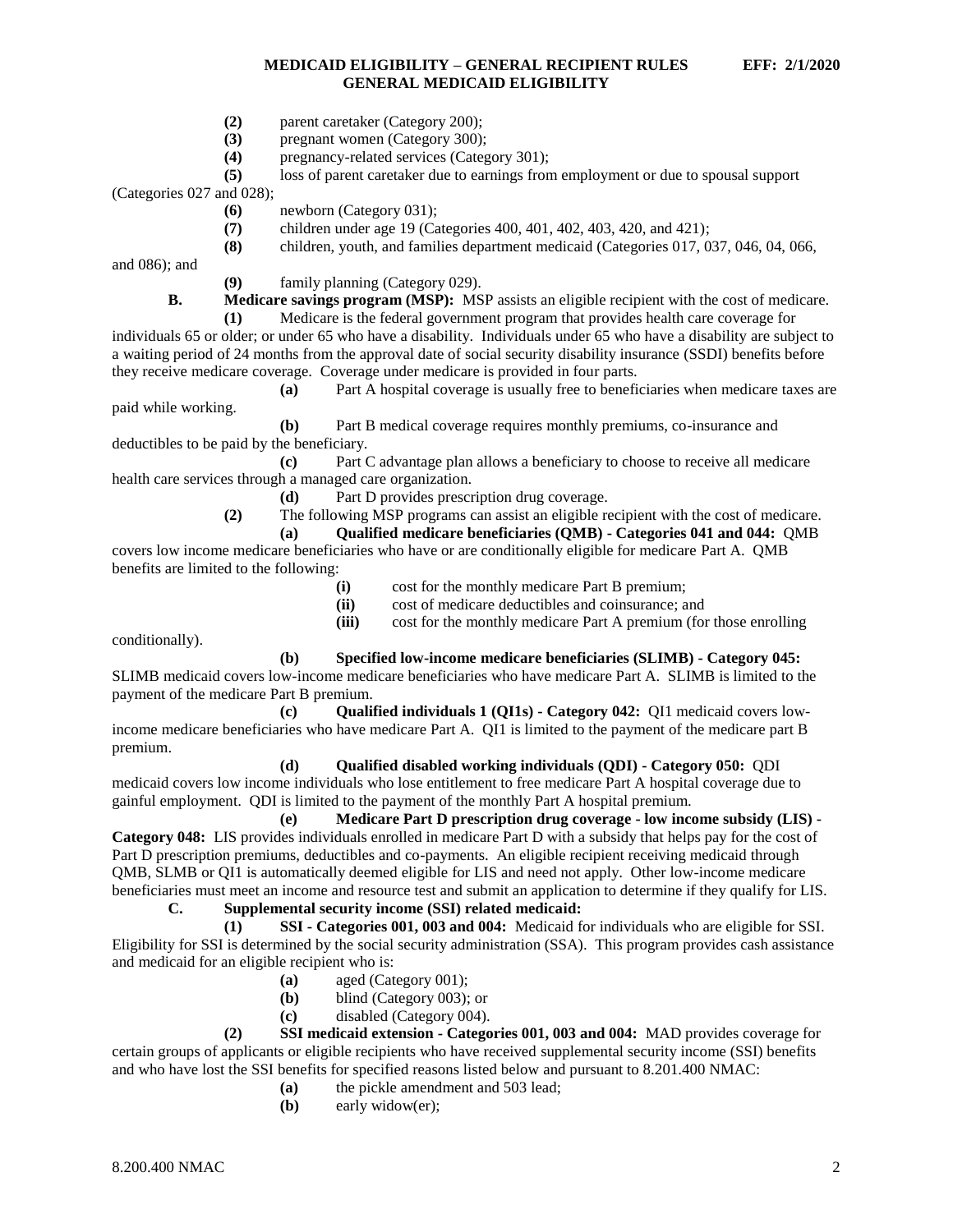- **(2)** parent caretaker (Category 200);
- **(3)** pregnant women (Category 300);
- **(4)** pregnancy-related services (Category 301);
- **(5)** loss of parent caretaker due to earnings from employment or due to spousal support

(Categories 027 and 028);

- **(6)** newborn (Category 031);
- **(7)** children under age 19 (Categories 400, 401, 402, 403, 420, and 421);
- **(8)** children, youth, and families department medicaid (Categories 017, 037, 046, 04, 066,

and 086); and

**(9)** family planning (Category 029).

**B. Medicare savings program (MSP):** MSP assists an eligible recipient with the cost of medicare.

**(1)** Medicare is the federal government program that provides health care coverage for individuals 65 or older; or under 65 who have a disability. Individuals under 65 who have a disability are subject to a waiting period of 24 months from the approval date of social security disability insurance (SSDI) benefits before they receive medicare coverage. Coverage under medicare is provided in four parts.

**(a)** Part A hospital coverage is usually free to beneficiaries when medicare taxes are paid while working.

**(b)** Part B medical coverage requires monthly premiums, co-insurance and deductibles to be paid by the beneficiary.

**(c)** Part C advantage plan allows a beneficiary to choose to receive all medicare health care services through a managed care organization.

- **(d)** Part D provides prescription drug coverage.
- **(2)** The following MSP programs can assist an eligible recipient with the cost of medicare.
	- **(a) Qualified medicare beneficiaries (QMB) - Categories 041 and 044:** QMB

covers low income medicare beneficiaries who have or are conditionally eligible for medicare Part A. QMB benefits are limited to the following:

- **(i)** cost for the monthly medicare Part B premium;
- **(ii)** cost of medicare deductibles and coinsurance; and

**(iii)** cost for the monthly medicare Part A premium (for those enrolling

conditionally).

**(b) Specified low-income medicare beneficiaries (SLIMB) - Category 045:**

SLIMB medicaid covers low-income medicare beneficiaries who have medicare Part A. SLIMB is limited to the payment of the medicare Part B premium.

**(c) Qualified individuals 1 (QI1s) - Category 042:** QI1 medicaid covers lowincome medicare beneficiaries who have medicare Part A. QI1 is limited to the payment of the medicare part B premium.

## **(d) Qualified disabled working individuals (QDI) - Category 050:** QDI

medicaid covers low income individuals who lose entitlement to free medicare Part A hospital coverage due to gainful employment. QDI is limited to the payment of the monthly Part A hospital premium.

**(e) Medicare Part D prescription drug coverage - low income subsidy (LIS) - Category 048:** LIS provides individuals enrolled in medicare Part D with a subsidy that helps pay for the cost of Part D prescription premiums, deductibles and co-payments. An eligible recipient receiving medicaid through QMB, SLMB or QI1 is automatically deemed eligible for LIS and need not apply. Other low-income medicare beneficiaries must meet an income and resource test and submit an application to determine if they qualify for LIS.

# **C. Supplemental security income (SSI) related medicaid:**

**(1) SSI - Categories 001, 003 and 004:** Medicaid for individuals who are eligible for SSI. Eligibility for SSI is determined by the social security administration (SSA). This program provides cash assistance and medicaid for an eligible recipient who is:

- **(a)** aged (Category 001);
- **(b)** blind (Category 003); or
- **(c)** disabled (Category 004).

**(2) SSI medicaid extension - Categories 001, 003 and 004:** MAD provides coverage for certain groups of applicants or eligible recipients who have received supplemental security income (SSI) benefits and who have lost the SSI benefits for specified reasons listed below and pursuant to 8.201.400 NMAC:

- **(a)** the pickle amendment and 503 lead;
- **(b)** early widow(er);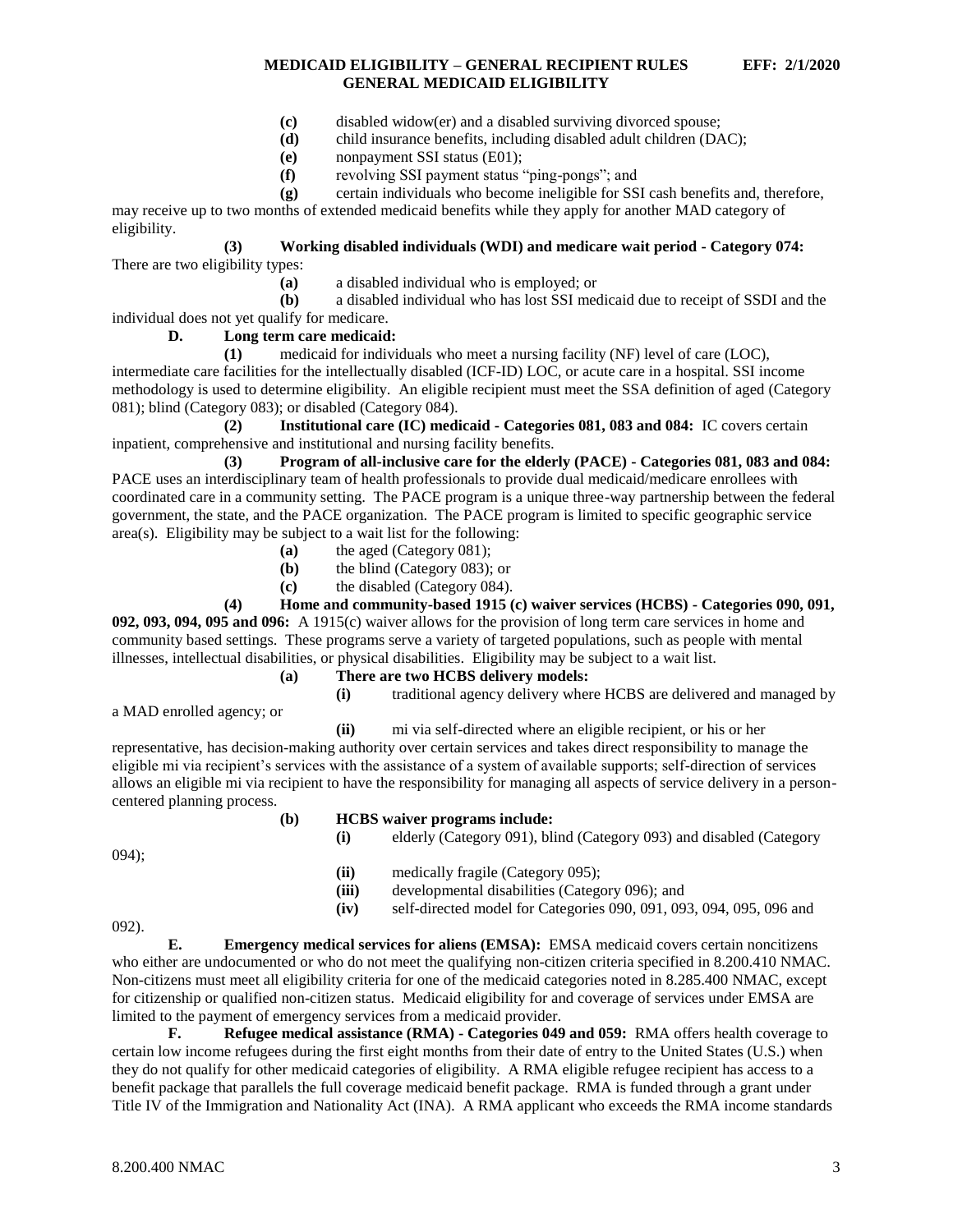- **(c)** disabled widow(er) and a disabled surviving divorced spouse;
- **(d)** child insurance benefits, including disabled adult children (DAC);
- **(e)** nonpayment SSI status (E01);
- **(f)** revolving SSI payment status "ping-pongs"; and
- **(g)** certain individuals who become ineligible for SSI cash benefits and, therefore,

may receive up to two months of extended medicaid benefits while they apply for another MAD category of eligibility.

### **(3) Working disabled individuals (WDI) and medicare wait period - Category 074:** There are two eligibility types:

**(a)** a disabled individual who is employed; or

**(b)** a disabled individual who has lost SSI medicaid due to receipt of SSDI and the individual does not yet qualify for medicare.

## **D. Long term care medicaid:**

**(1)** medicaid for individuals who meet a nursing facility (NF) level of care (LOC), intermediate care facilities for the intellectually disabled (ICF-ID) LOC, or acute care in a hospital. SSI income methodology is used to determine eligibility. An eligible recipient must meet the SSA definition of aged (Category 081); blind (Category 083); or disabled (Category 084).

**(2) Institutional care (IC) medicaid - Categories 081, 083 and 084:** IC covers certain inpatient, comprehensive and institutional and nursing facility benefits.

**(3) Program of all-inclusive care for the elderly (PACE) - Categories 081, 083 and 084:** PACE uses an interdisciplinary team of health professionals to provide dual medicaid/medicare enrollees with coordinated care in a community setting. The PACE program is a unique three-way partnership between the federal government, the state, and the PACE organization. The PACE program is limited to specific geographic service area(s). Eligibility may be subject to a wait list for the following:

- **(a)** the aged (Category 081);
- **(b)** the blind (Category 083); or
- **(c)** the disabled (Category 084).

## **(4) Home and community-based 1915 (c) waiver services (HCBS) - Categories 090, 091,**

**092, 093, 094, 095 and 096:** A 1915(c) waiver allows for the provision of long term care services in home and community based settings. These programs serve a variety of targeted populations, such as people with mental illnesses, intellectual disabilities, or physical disabilities. Eligibility may be subject to a wait list.

- **(a) There are two HCBS delivery models:**
	-

# **(i)** traditional agency delivery where HCBS are delivered and managed by

a MAD enrolled agency; or

**(ii)** mi via self-directed where an eligible recipient, or his or her

representative, has decision-making authority over certain services and takes direct responsibility to manage the eligible mi via recipient's services with the assistance of a system of available supports; self-direction of services allows an eligible mi via recipient to have the responsibility for managing all aspects of service delivery in a personcentered planning process.

## **(b) HCBS waiver programs include:**

**(i)** elderly (Category 091), blind (Category 093) and disabled (Category 094); **(ii)** medically fragile (Category 095); **(iii)** developmental disabilities (Category 096); and **(iv)** self-directed model for Categories 090, 091, 093, 094, 095, 096 and 092).

**E. Emergency medical services for aliens (EMSA):** EMSA medicaid covers certain noncitizens who either are undocumented or who do not meet the qualifying non-citizen criteria specified in 8.200.410 NMAC. Non-citizens must meet all eligibility criteria for one of the medicaid categories noted in 8.285.400 NMAC, except for citizenship or qualified non-citizen status. Medicaid eligibility for and coverage of services under EMSA are limited to the payment of emergency services from a medicaid provider.

**F. Refugee medical assistance (RMA) - Categories 049 and 059:** RMA offers health coverage to certain low income refugees during the first eight months from their date of entry to the United States (U.S.) when they do not qualify for other medicaid categories of eligibility. A RMA eligible refugee recipient has access to a benefit package that parallels the full coverage medicaid benefit package. RMA is funded through a grant under Title IV of the Immigration and Nationality Act (INA). A RMA applicant who exceeds the RMA income standards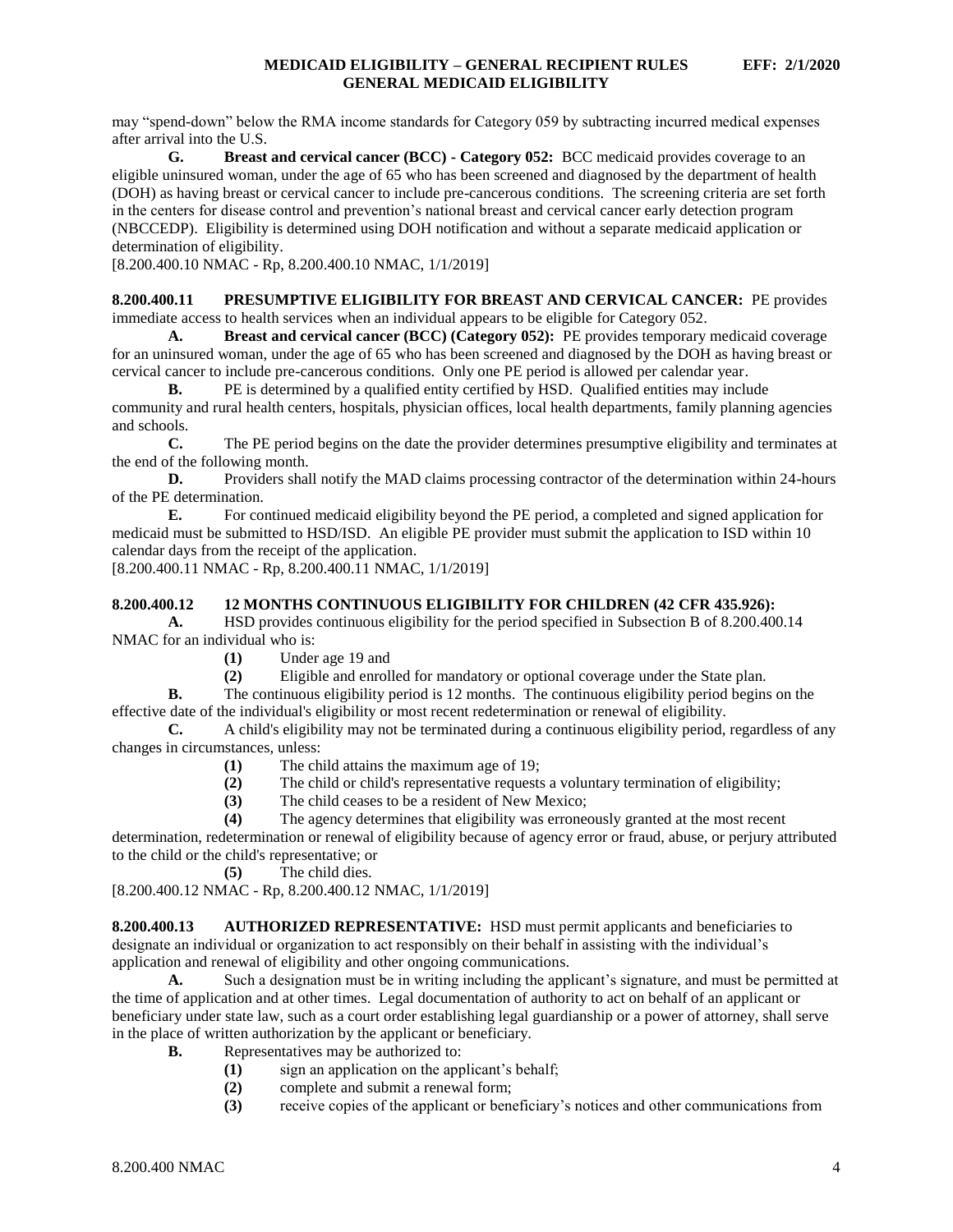may "spend-down" below the RMA income standards for Category 059 by subtracting incurred medical expenses after arrival into the U.S.

**G. Breast and cervical cancer (BCC) - Category 052:** BCC medicaid provides coverage to an eligible uninsured woman, under the age of 65 who has been screened and diagnosed by the department of health (DOH) as having breast or cervical cancer to include pre-cancerous conditions. The screening criteria are set forth in the centers for disease control and prevention's national breast and cervical cancer early detection program (NBCCEDP). Eligibility is determined using DOH notification and without a separate medicaid application or determination of eligibility.

[8.200.400.10 NMAC - Rp, 8.200.400.10 NMAC, 1/1/2019]

<span id="page-4-0"></span>**8.200.400.11 PRESUMPTIVE ELIGIBILITY FOR BREAST AND CERVICAL CANCER:** PE provides immediate access to health services when an individual appears to be eligible for Category 052.

**A. Breast and cervical cancer (BCC) (Category 052):** PE provides temporary medicaid coverage for an uninsured woman, under the age of 65 who has been screened and diagnosed by the DOH as having breast or cervical cancer to include pre-cancerous conditions. Only one PE period is allowed per calendar year.

**B.** PE is determined by a qualified entity certified by HSD. Qualified entities may include community and rural health centers, hospitals, physician offices, local health departments, family planning agencies and schools.

**C.** The PE period begins on the date the provider determines presumptive eligibility and terminates at the end of the following month.

**D.** Providers shall notify the MAD claims processing contractor of the determination within 24-hours of the PE determination.

**E.** For continued medicaid eligibility beyond the PE period, a completed and signed application for medicaid must be submitted to HSD/ISD. An eligible PE provider must submit the application to ISD within 10 calendar days from the receipt of the application.

[8.200.400.11 NMAC - Rp, 8.200.400.11 NMAC, 1/1/2019]

### <span id="page-4-1"></span>**8.200.400.12 12 MONTHS CONTINUOUS ELIGIBILITY FOR CHILDREN (42 CFR 435.926):**

**A.** HSD provides continuous eligibility for the period specified in Subsection B of 8.200.400.14 NMAC for an individual who is:

**(1)** Under age 19 and

**(2)** Eligible and enrolled for mandatory or optional coverage under the State plan.

**B.** The continuous eligibility period is 12 months. The continuous eligibility period begins on the effective date of the individual's eligibility or most recent redetermination or renewal of eligibility.

**C.** A child's eligibility may not be terminated during a continuous eligibility period, regardless of any changes in circumstances, unless:

- **(1)** The child attains the maximum age of 19;
- **(2)** The child or child's representative requests a voluntary termination of eligibility;
- **(3)** The child ceases to be a resident of New Mexico;
- **(4)** The agency determines that eligibility was erroneously granted at the most recent

determination, redetermination or renewal of eligibility because of agency error or fraud, abuse, or perjury attributed to the child or the child's representative; or

**(5)** The child dies.

[8.200.400.12 NMAC - Rp, 8.200.400.12 NMAC, 1/1/2019]

<span id="page-4-2"></span>**8.200.400.13 AUTHORIZED REPRESENTATIVE:** HSD must permit applicants and beneficiaries to designate an individual or organization to act responsibly on their behalf in assisting with the individual's application and renewal of eligibility and other ongoing communications.

**A.** Such a designation must be in writing including the applicant's signature, and must be permitted at the time of application and at other times. Legal documentation of authority to act on behalf of an applicant or beneficiary under state law, such as a court order establishing legal guardianship or a power of attorney, shall serve in the place of written authorization by the applicant or beneficiary.

- **B.** Representatives may be authorized to:
	- **(1)** sign an application on the applicant's behalf;
	- **(2)** complete and submit a renewal form;
	- **(3)** receive copies of the applicant or beneficiary's notices and other communications from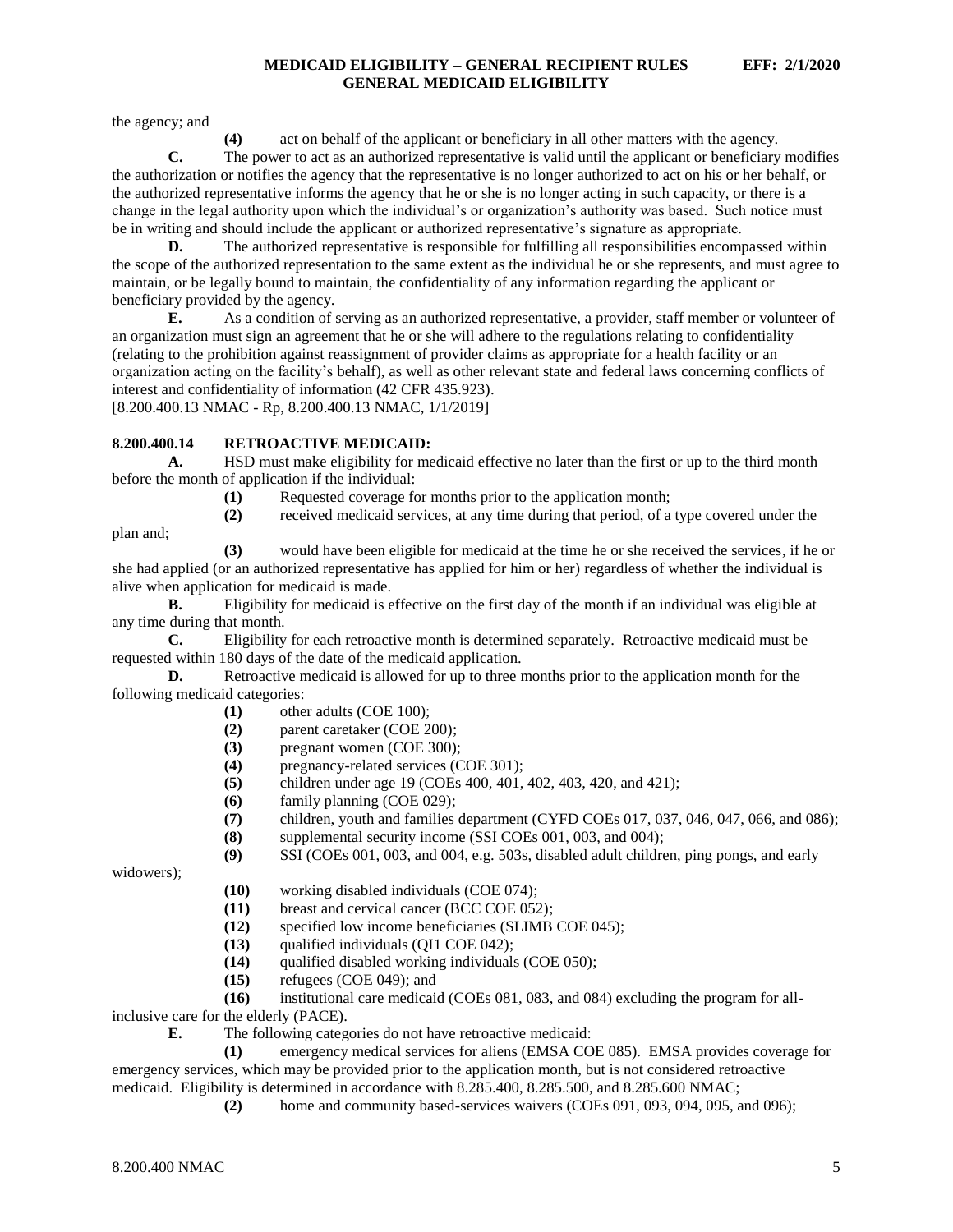the agency; and

**(4)** act on behalf of the applicant or beneficiary in all other matters with the agency.

**C.** The power to act as an authorized representative is valid until the applicant or beneficiary modifies the authorization or notifies the agency that the representative is no longer authorized to act on his or her behalf, or the authorized representative informs the agency that he or she is no longer acting in such capacity, or there is a change in the legal authority upon which the individual's or organization's authority was based. Such notice must be in writing and should include the applicant or authorized representative's signature as appropriate.

**D.** The authorized representative is responsible for fulfilling all responsibilities encompassed within the scope of the authorized representation to the same extent as the individual he or she represents, and must agree to maintain, or be legally bound to maintain, the confidentiality of any information regarding the applicant or beneficiary provided by the agency.

**E.** As a condition of serving as an authorized representative, a provider, staff member or volunteer of an organization must sign an agreement that he or she will adhere to the regulations relating to confidentiality (relating to the prohibition against reassignment of provider claims as appropriate for a health facility or an organization acting on the facility's behalf), as well as other relevant state and federal laws concerning conflicts of interest and confidentiality of information (42 CFR 435.923). [8.200.400.13 NMAC - Rp, 8.200.400.13 NMAC, 1/1/2019]

### <span id="page-5-0"></span>**8.200.400.14 RETROACTIVE MEDICAID:**

**A.** HSD must make eligibility for medicaid effective no later than the first or up to the third month before the month of application if the individual:

**(1)** Requested coverage for months prior to the application month;

plan and;

**(3)** would have been eligible for medicaid at the time he or she received the services, if he or she had applied (or an authorized representative has applied for him or her) regardless of whether the individual is alive when application for medicaid is made.

**(2)** received medicaid services, at any time during that period, of a type covered under the

**B.** Eligibility for medicaid is effective on the first day of the month if an individual was eligible at any time during that month.

**C.** Eligibility for each retroactive month is determined separately. Retroactive medicaid must be requested within 180 days of the date of the medicaid application.

**D.** Retroactive medicaid is allowed for up to three months prior to the application month for the following medicaid categories:

- **(1)** other adults (COE 100);
- **(2)** parent caretaker (COE 200);
- **(3)** pregnant women (COE 300);
- **(4)** pregnancy-related services (COE 301);
- **(5)** children under age 19 (COEs 400, 401, 402, 403, 420, and 421);
- **(6)** family planning (COE 029);
- **(7)** children, youth and families department (CYFD COEs 017, 037, 046, 047, 066, and 086);
- **(8)** supplemental security income (SSI COEs 001, 003, and 004);
- **(9)** SSI (COEs 001, 003, and 004, e.g. 503s, disabled adult children, ping pongs, and early

widowers);

- **(10)** working disabled individuals (COE 074);
- **(11)** breast and cervical cancer (BCC COE 052);
- **(12)** specified low income beneficiaries (SLIMB COE 045);
- **(13)** qualified individuals (QI1 COE 042);
- **(14)** qualified disabled working individuals (COE 050);
- **(15)** refugees (COE 049); and

**(16)** institutional care medicaid (COEs 081, 083, and 084) excluding the program for all-

inclusive care for the elderly (PACE).

**E.** The following categories do not have retroactive medicaid:

**(1)** emergency medical services for aliens (EMSA COE 085). EMSA provides coverage for emergency services, which may be provided prior to the application month, but is not considered retroactive medicaid. Eligibility is determined in accordance with 8.285.400, 8.285.500, and 8.285.600 NMAC;

**(2)** home and community based-services waivers (COEs 091, 093, 094, 095, and 096);